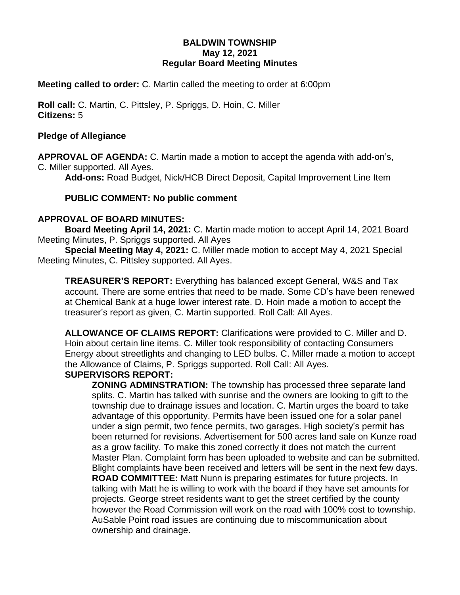# **BALDWIN TOWNSHIP May 12, 2021 Regular Board Meeting Minutes**

### **Meeting called to order:** C. Martin called the meeting to order at 6:00pm

**Roll call:** C. Martin, C. Pittsley, P. Spriggs, D. Hoin, C. Miller **Citizens:** 5

#### **Pledge of Allegiance**

**APPROVAL OF AGENDA:** C. Martin made a motion to accept the agenda with add-on's, C. Miller supported. All Ayes.

**Add-ons:** Road Budget, Nick/HCB Direct Deposit, Capital Improvement Line Item

## **PUBLIC COMMENT: No public comment**

#### **APPROVAL OF BOARD MINUTES:**

**Board Meeting April 14, 2021:** C. Martin made motion to accept April 14, 2021 Board Meeting Minutes, P. Spriggs supported. All Ayes

**Special Meeting May 4, 2021:** C. Miller made motion to accept May 4, 2021 Special Meeting Minutes, C. Pittsley supported. All Ayes.

**TREASURER'S REPORT:** Everything has balanced except General, W&S and Tax account. There are some entries that need to be made. Some CD's have been renewed at Chemical Bank at a huge lower interest rate. D. Hoin made a motion to accept the treasurer's report as given, C. Martin supported. Roll Call: All Ayes.

**ALLOWANCE OF CLAIMS REPORT:** Clarifications were provided to C. Miller and D. Hoin about certain line items. C. Miller took responsibility of contacting Consumers Energy about streetlights and changing to LED bulbs. C. Miller made a motion to accept the Allowance of Claims, P. Spriggs supported. Roll Call: All Ayes. **SUPERVISORS REPORT:**

**ZONING ADMINSTRATION:** The township has processed three separate land splits. C. Martin has talked with sunrise and the owners are looking to gift to the township due to drainage issues and location. C. Martin urges the board to take advantage of this opportunity. Permits have been issued one for a solar panel under a sign permit, two fence permits, two garages. High society's permit has been returned for revisions. Advertisement for 500 acres land sale on Kunze road as a grow facility. To make this zoned correctly it does not match the current Master Plan. Complaint form has been uploaded to website and can be submitted. Blight complaints have been received and letters will be sent in the next few days. **ROAD COMMITTEE:** Matt Nunn is preparing estimates for future projects. In talking with Matt he is willing to work with the board if they have set amounts for projects. George street residents want to get the street certified by the county however the Road Commission will work on the road with 100% cost to township. AuSable Point road issues are continuing due to miscommunication about ownership and drainage.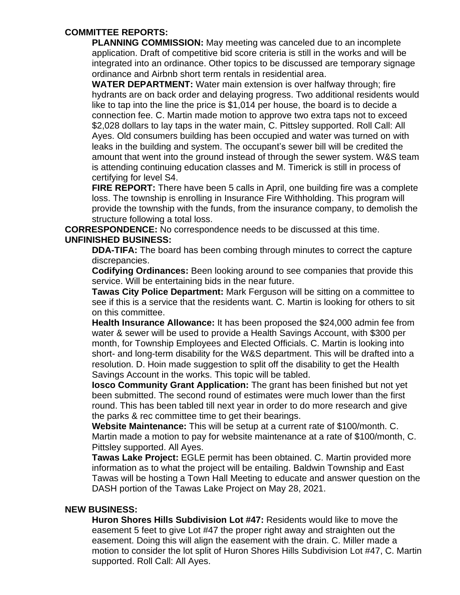# **COMMITTEE REPORTS:**

**PLANNING COMMISSION:** May meeting was canceled due to an incomplete application. Draft of competitive bid score criteria is still in the works and will be integrated into an ordinance. Other topics to be discussed are temporary signage ordinance and Airbnb short term rentals in residential area.

**WATER DEPARTMENT:** Water main extension is over halfway through; fire hydrants are on back order and delaying progress. Two additional residents would like to tap into the line the price is \$1,014 per house, the board is to decide a connection fee. C. Martin made motion to approve two extra taps not to exceed \$2,028 dollars to lay taps in the water main, C. Pittsley supported. Roll Call: All Ayes. Old consumers building has been occupied and water was turned on with leaks in the building and system. The occupant's sewer bill will be credited the amount that went into the ground instead of through the sewer system. W&S team is attending continuing education classes and M. Timerick is still in process of certifying for level S4.

**FIRE REPORT:** There have been 5 calls in April, one building fire was a complete loss. The township is enrolling in Insurance Fire Withholding. This program will provide the township with the funds, from the insurance company, to demolish the structure following a total loss.

**CORRESPONDENCE:** No correspondence needs to be discussed at this time. **UNFINISHED BUSINESS:**

**DDA-TIFA:** The board has been combing through minutes to correct the capture discrepancies.

**Codifying Ordinances:** Been looking around to see companies that provide this service. Will be entertaining bids in the near future.

**Tawas City Police Department:** Mark Ferguson will be sitting on a committee to see if this is a service that the residents want. C. Martin is looking for others to sit on this committee.

**Health Insurance Allowance:** It has been proposed the \$24,000 admin fee from water & sewer will be used to provide a Health Savings Account, with \$300 per month, for Township Employees and Elected Officials. C. Martin is looking into short- and long-term disability for the W&S department. This will be drafted into a resolution. D. Hoin made suggestion to split off the disability to get the Health Savings Account in the works. This topic will be tabled.

**Iosco Community Grant Application:** The grant has been finished but not yet been submitted. The second round of estimates were much lower than the first round. This has been tabled till next year in order to do more research and give the parks & rec committee time to get their bearings.

**Website Maintenance:** This will be setup at a current rate of \$100/month. C. Martin made a motion to pay for website maintenance at a rate of \$100/month, C. Pittsley supported. All Ayes.

**Tawas Lake Project:** EGLE permit has been obtained. C. Martin provided more information as to what the project will be entailing. Baldwin Township and East Tawas will be hosting a Town Hall Meeting to educate and answer question on the DASH portion of the Tawas Lake Project on May 28, 2021.

#### **NEW BUSINESS:**

**Huron Shores Hills Subdivision Lot #47:** Residents would like to move the easement 5 feet to give Lot #47 the proper right away and straighten out the easement. Doing this will align the easement with the drain. C. Miller made a motion to consider the lot split of Huron Shores Hills Subdivision Lot #47, C. Martin supported. Roll Call: All Ayes.